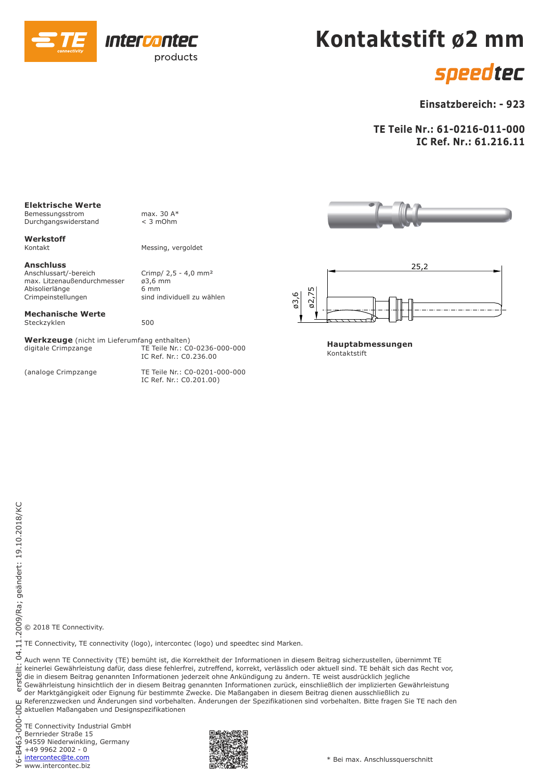

## **Kontaktstift ø2 mm**

## speedtec

### **Einsatzbereich: - 923**

**TE Teile Nr.: 61-0216-011-000 IC Ref. Nr.: 61.216.11**

#### **Elektrische Werte**

Bemessungsstrom max. 30 A\*<br>Durchgangswiderstand < 3 mOhm Durchgangswiderstand

**Werkstoff** 

**Anschluss** max. Litzenaußendurchmesser *ø*3,6 m<br>Abisolierlänge 6 mm Abisolierlänge<br>Crimpeinstellungen

#### **Mechanische Werte** Steckzyklen 500

**Werkzeuge** (nicht im Lieferumfang enthalten)

Messing, vergoldet

Crimp/  $2,5 - 4,0$  mm<sup>2</sup><br> $\varnothing$ 3,6 mm sind individuell zu wählen

TE Teile Nr.: C0-0236-000-000 IC Ref. Nr.: C0.236.00

(analoge Crimpzange TE Teile Nr.: C0-0201-000-000 IC Ref. Nr.: C0.201.00)





**Hauptabmessungen** Kontaktstift

© 2018 TE Connectivity.

TE Connectivity, TE connectivity (logo), intercontec (logo) und speedtec sind Marken.

Auch wenn TE Connectivity (TE) bemüht ist, die Korrektheit der Informationen in diesem Beitrag sicherzustellen, übernimmt TE keinerlei Gewährleistung dafür, dass diese fehlerfrei, zutreffend, korrekt, verlässlich oder aktuell sind. TE behält sich das Recht vor, die in diesem Beitrag genannten Informationen jederzeit ohne Ankündigung zu ändern. TE weist ausdrücklich jegliche Gewährleistung hinsichtlich der in diesem Beitrag genannten Informationen zurück, einschließlich der implizierten Gewährleistung

der Marktgängigkeit oder Eignung für bestimmte Zwecke. Die Maßangaben in diesem Beitrag dienen ausschließlich zu Referenzzwecken und Änderungen sind vorbehalten. Änderungen der Spezifikationen sind vorbehalten. Bitte fragen Sie TE nach den

aktuellen Maßangaben und Designspezifikationen

TE Connectivity Industrial GmbH Bernrieder Straße 15 94559 Niederwinkling, Germany +49 9962 2002 - 0 www.intercontec.biz intercontec@te.com